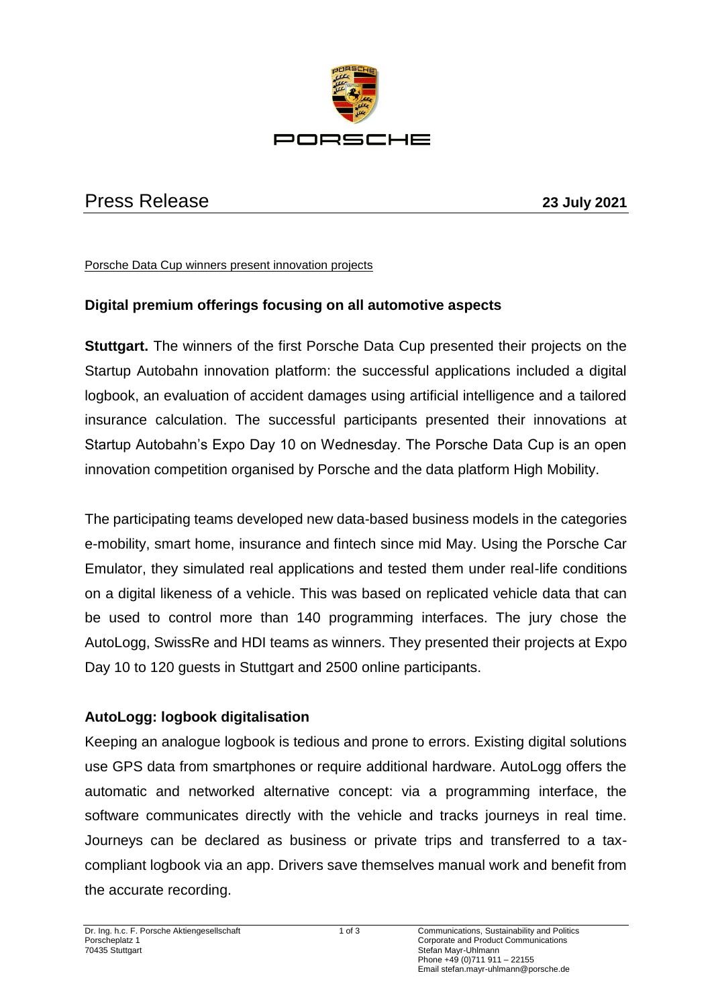

# Press Release **23 July 2021**

Porsche Data Cup winners present innovation projects

## **Digital premium offerings focusing on all automotive aspects**

**Stuttgart.** The winners of the first Porsche Data Cup presented their projects on the Startup Autobahn innovation platform: the successful applications included a digital logbook, an evaluation of accident damages using artificial intelligence and a tailored insurance calculation. The successful participants presented their innovations at Startup Autobahn's Expo Day 10 on Wednesday. The Porsche Data Cup is an open innovation competition organised by Porsche and the data platform High Mobility.

The participating teams developed new data-based business models in the categories e-mobility, smart home, insurance and fintech since mid May. Using the Porsche Car Emulator, they simulated real applications and tested them under real-life conditions on a digital likeness of a vehicle. This was based on replicated vehicle data that can be used to control more than 140 programming interfaces. The jury chose the AutoLogg, SwissRe and HDI teams as winners. They presented their projects at Expo Day 10 to 120 guests in Stuttgart and 2500 online participants.

## **AutoLogg: logbook digitalisation**

Keeping an analogue logbook is tedious and prone to errors. Existing digital solutions use GPS data from smartphones or require additional hardware. AutoLogg offers the automatic and networked alternative concept: via a programming interface, the software communicates directly with the vehicle and tracks journeys in real time. Journeys can be declared as business or private trips and transferred to a taxcompliant logbook via an app. Drivers save themselves manual work and benefit from the accurate recording.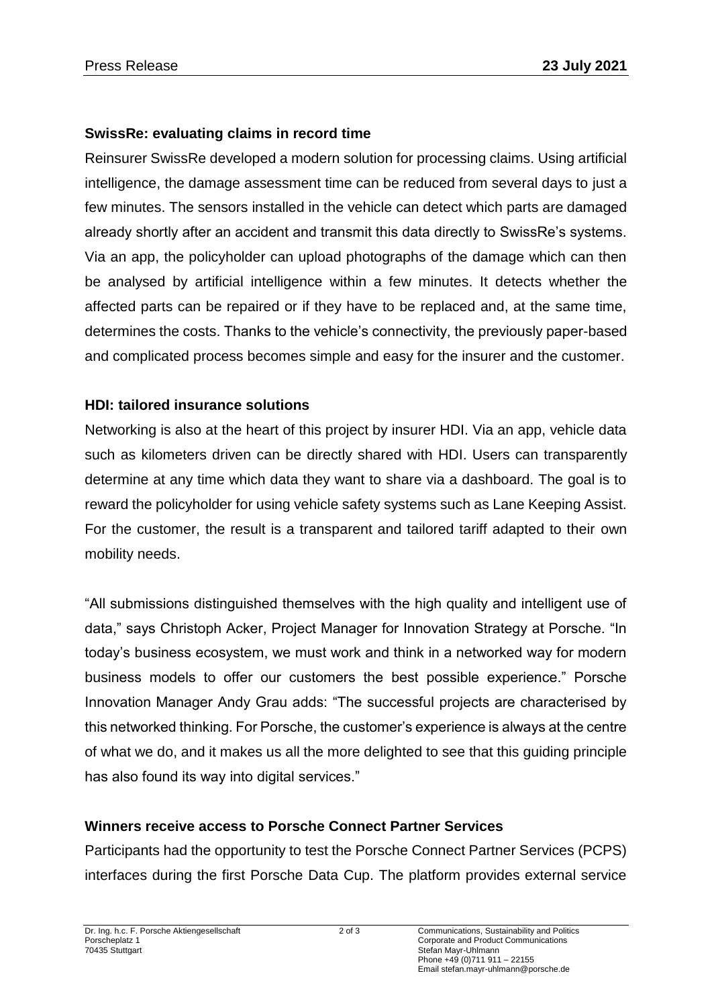#### **SwissRe: evaluating claims in record time**

Reinsurer SwissRe developed a modern solution for processing claims. Using artificial intelligence, the damage assessment time can be reduced from several days to just a few minutes. The sensors installed in the vehicle can detect which parts are damaged already shortly after an accident and transmit this data directly to SwissRe's systems. Via an app, the policyholder can upload photographs of the damage which can then be analysed by artificial intelligence within a few minutes. It detects whether the affected parts can be repaired or if they have to be replaced and, at the same time, determines the costs. Thanks to the vehicle's connectivity, the previously paper-based and complicated process becomes simple and easy for the insurer and the customer.

#### **HDI: tailored insurance solutions**

Networking is also at the heart of this project by insurer HDI. Via an app, vehicle data such as kilometers driven can be directly shared with HDI. Users can transparently determine at any time which data they want to share via a dashboard. The goal is to reward the policyholder for using vehicle safety systems such as Lane Keeping Assist. For the customer, the result is a transparent and tailored tariff adapted to their own mobility needs.

"All submissions distinguished themselves with the high quality and intelligent use of data," says Christoph Acker, Project Manager for Innovation Strategy at Porsche. "In today's business ecosystem, we must work and think in a networked way for modern business models to offer our customers the best possible experience." Porsche Innovation Manager Andy Grau adds: "The successful projects are characterised by this networked thinking. For Porsche, the customer's experience is always at the centre of what we do, and it makes us all the more delighted to see that this guiding principle has also found its way into digital services."

## **Winners receive access to Porsche Connect Partner Services**

Participants had the opportunity to test the Porsche Connect Partner Services (PCPS) interfaces during the first Porsche Data Cup. The platform provides external service